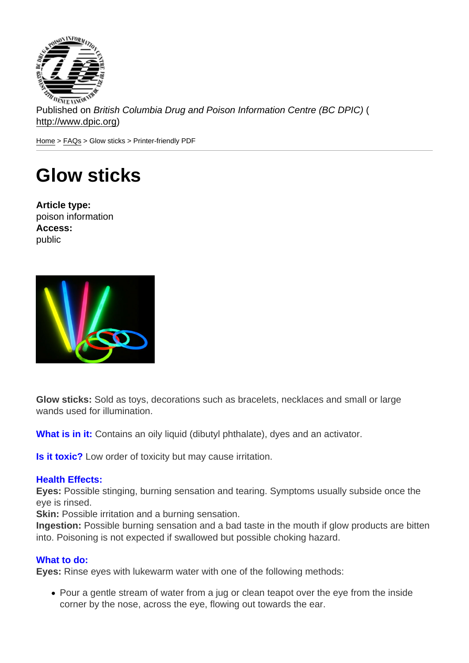Published on British Columbia Drug and Poison Information Centre (BC DPIC) ( http://www.dpic.org)

Home > FAQs > Glow sticks > Printer-friendly PDF

## [Gl](http://www.dpic.org/)[ow](http://www.dpic.org/faq) sticks

Article type: poison information Access: public

Glow sticks: Sold as toys, decorations such as bracelets, necklaces and small or large wands used for illumination.

What is in it: Contains an oily liquid (dibutyl phthalate), dyes and an activator.

Is it toxic? Low order of toxicity but may cause irritation.

## Health Effects:

Eyes: Possible stinging, burning sensation and tearing. Symptoms usually subside once the eye is rinsed.

Skin: Possible irritation and a burning sensation.

Ingestion: Possible burning sensation and a bad taste in the mouth if glow products are bitten into. Poisoning is not expected if swallowed but possible choking hazard.

## What to do:

Eyes: Rinse eyes with lukewarm water with one of the following methods:

• Pour a gentle stream of water from a jug or clean teapot over the eye from the inside corner by the nose, across the eye, flowing out towards the ear.